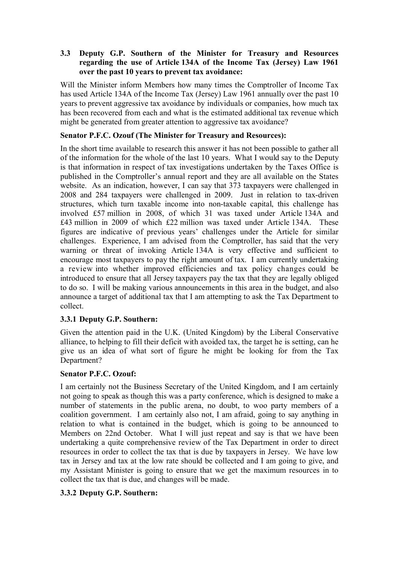# **3.3** � **Deputy G.P. Southern of the Minister for Treasury and Resources regarding the use of Article 134A of the Income Tax (Jersey) Law 1961 over the past 10 years to prevent tax avoidance:**

Will the Minister inform Members how many times the Comptroller of Income Tax has used Article 134A of the Income Tax (Jersey) Law 1961 annually over the past 10 years to prevent aggressive tax avoidance by individuals or companies, how much tax has been recovered from each and what is the estimated additional tax revenue which might be generated from greater attention to aggressive tax avoidance?

# **Senator P.F.C. Ozouf (The Minister for Treasury and Resources):**

In the short time available to research this answer it has not been possible to gather all of the information for the whole of the last 10 years. What I would say to the Deputy is that information in respect of tax investigations undertaken by the Taxes Office is published in the Comptroller's annual report and they are all available on the States website. As an indication, however, I can say that 373 taxpayers were challenged in 2008 and 284 taxpayers were challenged in 2009. Just in relation to tax-driven structures, which turn taxable income into non-taxable capital, this challenge has involved £57 million in 2008, of which 31 was taxed under Article 134A and £43 million in 2009 of which £22 million was taxed under Article 134A. These figures are indicative of previous years' challenges under the Article for similar challenges. Experience, I am advised from the Comptroller, has said that the very warning or threat of invoking Article 134A is very effective and sufficient to encourage most taxpayers to pay the right amount of tax. I am currently undertaking a review into whether improved efficiencies and tax policy changes could be introduced to ensure that all Jersey taxpayers pay the tax that they are legally obliged to do so. I will be making various announcements in this area in the budget, and also announce a target of additional tax that I am attempting to ask the Tax Department to collect.

# **3.3.1 Deputy G.P. Southern:**

Given the attention paid in the U.K. (United Kingdom) by the Liberal Conservative alliance, to helping to fill their deficit with avoided tax, the target he is setting, can he give us an idea of what sort of figure he might be looking for from the Tax Department?

# **Senator P.F.C. Ozouf:**

I am certainly not the Business Secretary of the United Kingdom, and I am certainly not going to speak as though this was a party conference, which is designed to make a number of statements in the public arena, no doubt, to woo party members of a coalition government. I am certainly also not, I am afraid, going to say anything in relation to what is contained in the budget, which is going to be announced to Members on 22nd October. What I will just repeat and say is that we have been undertaking a quite comprehensive review of the Tax Department in order to direct resources in order to collect the tax that is due by taxpayers in Jersey. We have low tax in Jersey and tax at the low rate should be collected and I am going to give, and my Assistant Minister is going to ensure that we get the maximum resources in to collect the tax that is due, and changes will be made.

# **3.3.2 Deputy G.P. Southern:**